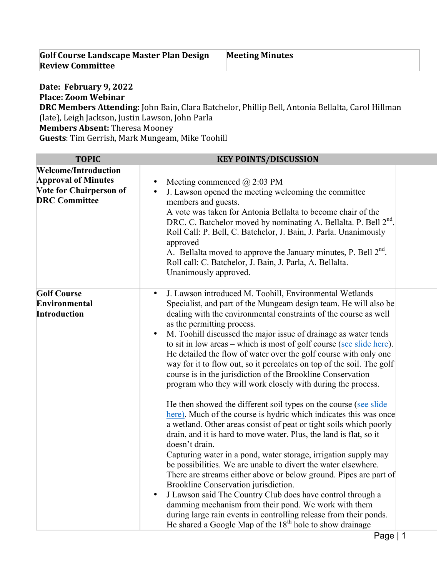| <b>Golf Course Landscape Master Plan Design</b> | <b>Meeting Minutes</b> |
|-------------------------------------------------|------------------------|
| <b>Review Committee</b>                         |                        |

**Date: February 9, 2022 Place: Zoom Webinar DRC Members Attending**: John Bain, Clara Batchelor, Phillip Bell, Antonia Bellalta, Carol Hillman (late), Leigh Jackson, Justin Lawson, John Parla **Members Absent:** Theresa Mooney **Guests:** Tim Gerrish, Mark Mungeam, Mike Toohill

| <b>TOPIC</b>                                                                                                        | <b>KEY POINTS/DISCUSSION</b>                                                                                                                                                                                                                                                                                                                                                                                                                                                                                                                                                                                                                                                                                                                                                                                                                                                                                                                                                                                                                                                                                                                                                                                                                                                                                                                                                                                                                                                                     |  |
|---------------------------------------------------------------------------------------------------------------------|--------------------------------------------------------------------------------------------------------------------------------------------------------------------------------------------------------------------------------------------------------------------------------------------------------------------------------------------------------------------------------------------------------------------------------------------------------------------------------------------------------------------------------------------------------------------------------------------------------------------------------------------------------------------------------------------------------------------------------------------------------------------------------------------------------------------------------------------------------------------------------------------------------------------------------------------------------------------------------------------------------------------------------------------------------------------------------------------------------------------------------------------------------------------------------------------------------------------------------------------------------------------------------------------------------------------------------------------------------------------------------------------------------------------------------------------------------------------------------------------------|--|
| <b>Welcome/Introduction</b><br><b>Approval of Minutes</b><br><b>Vote for Chairperson of</b><br><b>DRC</b> Committee | Meeting commenced $\omega$ 2:03 PM<br>J. Lawson opened the meeting welcoming the committee<br>members and guests.<br>A vote was taken for Antonia Bellalta to become chair of the<br>DRC. C. Batchelor moved by nominating A. Bellalta. P. Bell 2 <sup>nd</sup> .<br>Roll Call: P. Bell, C. Batchelor, J. Bain, J. Parla. Unanimously<br>approved<br>A. Bellalta moved to approve the January minutes, P. Bell $2^{nd}$ .<br>Roll call: C. Batchelor, J. Bain, J. Parla, A. Bellalta.<br>Unanimously approved.                                                                                                                                                                                                                                                                                                                                                                                                                                                                                                                                                                                                                                                                                                                                                                                                                                                                                                                                                                                   |  |
| <b>Golf Course</b><br>Environmental<br><b>Introduction</b>                                                          | J. Lawson introduced M. Toohill, Environmental Wetlands<br>Specialist, and part of the Mungeam design team. He will also be<br>dealing with the environmental constraints of the course as well<br>as the permitting process.<br>M. Toohill discussed the major issue of drainage as water tends<br>$\bullet$<br>to sit in low areas – which is most of golf course (see slide here).<br>He detailed the flow of water over the golf course with only one<br>way for it to flow out, so it percolates on top of the soil. The golf<br>course is in the jurisdiction of the Brookline Conservation<br>program who they will work closely with during the process.<br>He then showed the different soil types on the course (see slide)<br>here). Much of the course is hydric which indicates this was once<br>a wetland. Other areas consist of peat or tight soils which poorly<br>drain, and it is hard to move water. Plus, the land is flat, so it<br>doesn't drain.<br>Capturing water in a pond, water storage, irrigation supply may<br>be possibilities. We are unable to divert the water elsewhere.<br>There are streams either above or below ground. Pipes are part of<br>Brookline Conservation jurisdiction.<br>J Lawson said The Country Club does have control through a<br>$\bullet$<br>damming mechanism from their pond. We work with them<br>during large rain events in controlling release from their ponds.<br>He shared a Google Map of the $18th$ hole to show drainage |  |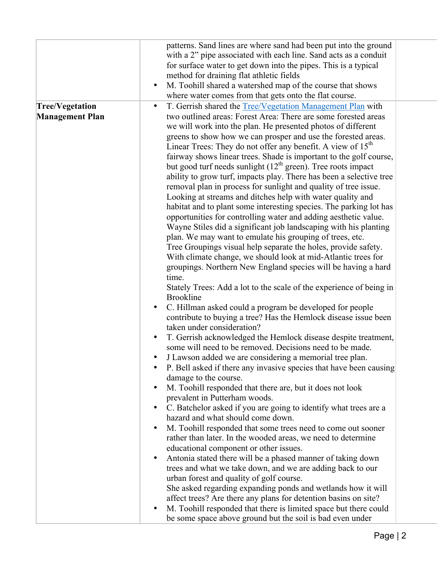|                        | patterns. Sand lines are where sand had been put into the ground                        |
|------------------------|-----------------------------------------------------------------------------------------|
|                        | with a 2" pipe associated with each line. Sand acts as a conduit                        |
|                        | for surface water to get down into the pipes. This is a typical                         |
|                        | method for draining flat athletic fields                                                |
|                        | M. Toohill shared a watershed map of the course that shows<br>$\bullet$                 |
|                        | where water comes from that gets onto the flat course.                                  |
| <b>Tree/Vegetation</b> | T. Gerrish shared the Tree/Vegetation Management Plan with<br>$\bullet$                 |
| <b>Management Plan</b> | two outlined areas: Forest Area: There are some forested areas                          |
|                        | we will work into the plan. He presented photos of different                            |
|                        | greens to show how we can prosper and use the forested areas.                           |
|                        | Linear Trees: They do not offer any benefit. A view of $15th$                           |
|                        | fairway shows linear trees. Shade is important to the golf course,                      |
|                        | but good turf needs sunlight $(12th$ green). Tree roots impact                          |
|                        | ability to grow turf, impacts play. There has been a selective tree                     |
|                        | removal plan in process for sunlight and quality of tree issue.                         |
|                        | Looking at streams and ditches help with water quality and                              |
|                        | habitat and to plant some interesting species. The parking lot has                      |
|                        | opportunities for controlling water and adding aesthetic value.                         |
|                        | Wayne Stiles did a significant job landscaping with his planting                        |
|                        | plan. We may want to emulate his grouping of trees, etc.                                |
|                        | Tree Groupings visual help separate the holes, provide safety.                          |
|                        | With climate change, we should look at mid-Atlantic trees for                           |
|                        | groupings. Northern New England species will be having a hard                           |
|                        | time.                                                                                   |
|                        | Stately Trees: Add a lot to the scale of the experience of being in<br><b>Brookline</b> |
|                        | C. Hillman asked could a program be developed for people<br>$\bullet$                   |
|                        | contribute to buying a tree? Has the Hemlock disease issue been                         |
|                        | taken under consideration?                                                              |
|                        | T. Gerrish acknowledged the Hemlock disease despite treatment,<br>$\bullet$             |
|                        | some will need to be removed. Decisions need to be made.                                |
|                        | J Lawson added we are considering a memorial tree plan.                                 |
|                        | P. Bell asked if there any invasive species that have been causing                      |
|                        | damage to the course.                                                                   |
|                        | M. Toohill responded that there are, but it does not look<br>$\bullet$                  |
|                        | prevalent in Putterham woods.                                                           |
|                        | C. Batchelor asked if you are going to identify what trees are a<br>$\bullet$           |
|                        | hazard and what should come down.                                                       |
|                        | M. Toohill responded that some trees need to come out sooner<br>$\bullet$               |
|                        | rather than later. In the wooded areas, we need to determine                            |
|                        | educational component or other issues.                                                  |
|                        | Antonia stated there will be a phased manner of taking down<br>$\bullet$                |
|                        | trees and what we take down, and we are adding back to our                              |
|                        | urban forest and quality of golf course.                                                |
|                        | She asked regarding expanding ponds and wetlands how it will                            |
|                        | affect trees? Are there any plans for detention basins on site?                         |
|                        | M. Toohill responded that there is limited space but there could<br>$\bullet$           |
|                        | be some space above ground but the soil is bad even under                               |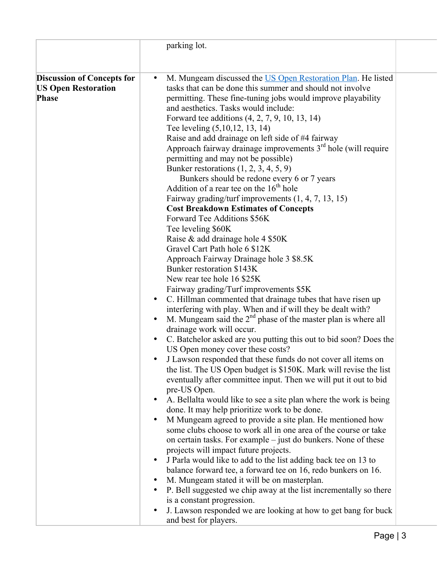|                                                                                 | parking lot.                                                                                                                                                                                                                                                                                                                                                               |
|---------------------------------------------------------------------------------|----------------------------------------------------------------------------------------------------------------------------------------------------------------------------------------------------------------------------------------------------------------------------------------------------------------------------------------------------------------------------|
|                                                                                 |                                                                                                                                                                                                                                                                                                                                                                            |
| <b>Discussion of Concepts for</b><br><b>US Open Restoration</b><br><b>Phase</b> | M. Mungeam discussed the US Open Restoration Plan. He listed<br>tasks that can be done this summer and should not involve<br>permitting. These fine-tuning jobs would improve playability<br>and aesthetics. Tasks would include:<br>Forward tee additions (4, 2, 7, 9, 10, 13, 14)<br>Tee leveling (5,10,12, 13, 14)<br>Raise and add drainage on left side of #4 fairway |
|                                                                                 | Approach fairway drainage improvements $3rd$ hole (will require<br>permitting and may not be possible)<br>Bunker restorations $(1, 2, 3, 4, 5, 9)$                                                                                                                                                                                                                         |
|                                                                                 | Bunkers should be redone every 6 or 7 years<br>Addition of a rear tee on the $16th$ hole                                                                                                                                                                                                                                                                                   |
|                                                                                 | Fairway grading/turf improvements $(1, 4, 7, 13, 15)$<br><b>Cost Breakdown Estimates of Concepts</b>                                                                                                                                                                                                                                                                       |
|                                                                                 | Forward Tee Additions \$56K<br>Tee leveling \$60K                                                                                                                                                                                                                                                                                                                          |
|                                                                                 | Raise & add drainage hole 4 \$50K<br>Gravel Cart Path hole 6 \$12K                                                                                                                                                                                                                                                                                                         |
|                                                                                 | Approach Fairway Drainage hole 3 \$8.5K<br>Bunker restoration \$143K                                                                                                                                                                                                                                                                                                       |
|                                                                                 | New rear tee hole 16 \$25K<br>Fairway grading/Turf improvements \$5K                                                                                                                                                                                                                                                                                                       |
|                                                                                 | C. Hillman commented that drainage tubes that have risen up<br>$\bullet$<br>interfering with play. When and if will they be dealt with?                                                                                                                                                                                                                                    |
|                                                                                 | M. Mungeam said the $2nd$ phase of the master plan is where all<br>$\bullet$<br>drainage work will occur.                                                                                                                                                                                                                                                                  |
|                                                                                 | C. Batchelor asked are you putting this out to bid soon? Does the<br>$\bullet$<br>US Open money cover these costs?                                                                                                                                                                                                                                                         |
|                                                                                 | J Lawson responded that these funds do not cover all items on<br>the list. The US Open budget is \$150K. Mark will revise the list<br>eventually after committee input. Then we will put it out to bid<br>pre-US Open.                                                                                                                                                     |
|                                                                                 | A. Bellalta would like to see a site plan where the work is being<br>$\bullet$<br>done. It may help prioritize work to be done.                                                                                                                                                                                                                                            |
|                                                                                 | M Mungeam agreed to provide a site plan. He mentioned how<br>$\bullet$<br>some clubs choose to work all in one area of the course or take<br>on certain tasks. For example – just do bunkers. None of these                                                                                                                                                                |
|                                                                                 | projects will impact future projects.<br>J Parla would like to add to the list adding back tee on 13 to                                                                                                                                                                                                                                                                    |
|                                                                                 | balance forward tee, a forward tee on 16, redo bunkers on 16.<br>M. Mungeam stated it will be on masterplan.                                                                                                                                                                                                                                                               |
|                                                                                 | P. Bell suggested we chip away at the list incrementally so there<br>is a constant progression.                                                                                                                                                                                                                                                                            |
|                                                                                 | J. Lawson responded we are looking at how to get bang for buck<br>and best for players.                                                                                                                                                                                                                                                                                    |